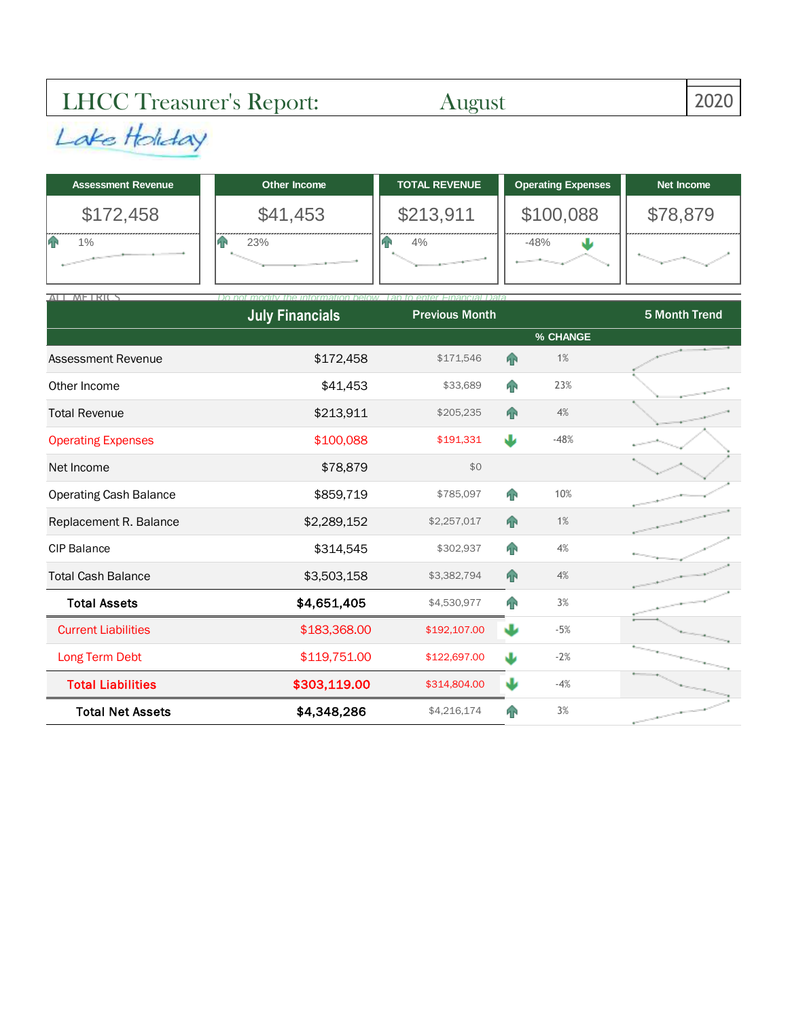## LHCC Treasurer's Report: August 2020

| <b>Assessment Revenue</b> | Other Income | <b>TOTAL REVENUE</b> | <b>Operating Expenses</b> | Net Income |  |
|---------------------------|--------------|----------------------|---------------------------|------------|--|
| \$172,458                 | \$41,453     | \$213,911            | \$100,088                 | \$78,879   |  |
| 1%                        | 23%          | 4%                   | $-48%$                    |            |  |

| ALL METRICS                   | Do not<br>mation halow<br><b>July Financials</b> | enter Financial Data<br><b>Previous Month</b> |                |          | 5 Month Trend |
|-------------------------------|--------------------------------------------------|-----------------------------------------------|----------------|----------|---------------|
|                               |                                                  |                                               |                | % CHANGE |               |
| Assessment Revenue            | \$172,458                                        | \$171,546                                     | <b>FP</b>      | 1%       |               |
| Other Income                  | \$41,453                                         | \$33,689                                      | n <sub>1</sub> | 23%      |               |
| <b>Total Revenue</b>          | \$213,911                                        | \$205,235                                     | <b>FP</b>      | 4%       |               |
| <b>Operating Expenses</b>     | \$100,088                                        | \$191,331                                     | Ψ              | $-48%$   |               |
| Net Income                    | \$78,879                                         | \$0                                           |                |          |               |
| <b>Operating Cash Balance</b> | \$859,719                                        | \$785,097                                     | n <sub>1</sub> | 10%      |               |
| Replacement R. Balance        | \$2,289,152                                      | \$2,257,017                                   | 4 <sub>1</sub> | 1%       |               |
| <b>CIP Balance</b>            | \$314,545                                        | \$302,937                                     | <b>FP</b>      | 4%       |               |
| <b>Total Cash Balance</b>     | \$3,503,158                                      | \$3,382,794                                   | <b>AP</b>      | 4%       |               |
| <b>Total Assets</b>           | \$4,651,405                                      | \$4,530,977                                   | T              | 3%       |               |
| <b>Current Liabilities</b>    | \$183,368.00                                     | \$192,107.00                                  | J              | $-5%$    |               |
| Long Term Debt                | \$119,751.00                                     | \$122,697.00                                  | J              | $-2%$    |               |
| <b>Total Liabilities</b>      | \$303,119.00                                     | \$314,804.00                                  | J              | $-4%$    |               |
| <b>Total Net Assets</b>       | \$4,348,286                                      | \$4,216,174                                   | <b>FIN</b>     | 3%       |               |